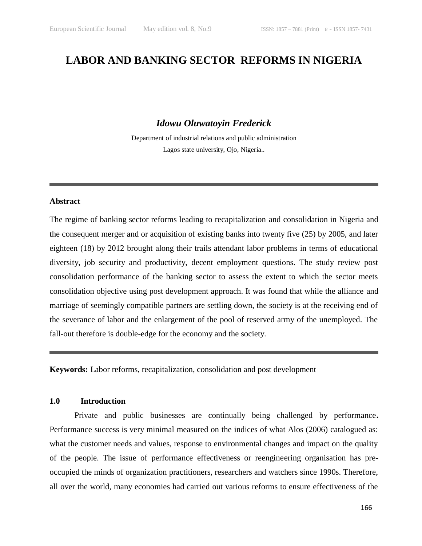# **LABOR AND BANKING SECTOR REFORMS IN NIGERIA**

### *Idowu Oluwatoyin Frederick*

Department of industrial relations and public administration Lagos state university, Ojo, Nigeria..

### **Abstract**

The regime of banking sector reforms leading to recapitalization and consolidation in Nigeria and the consequent merger and or acquisition of existing banks into twenty five (25) by 2005, and later eighteen (18) by 2012 brought along their trails attendant labor problems in terms of educational diversity, job security and productivity, decent employment questions. The study review post consolidation performance of the banking sector to assess the extent to which the sector meets consolidation objective using post development approach. It was found that while the alliance and marriage of seemingly compatible partners are settling down, the society is at the receiving end of the severance of labor and the enlargement of the pool of reserved army of the unemployed. The fall-out therefore is double-edge for the economy and the society.

**Keywords:** Labor reforms, recapitalization, consolidation and post development

### **1.0 Introduction**

Private and public businesses are continually being challenged by performance**.**  Performance success is very minimal measured on the indices of what Alos (2006) catalogued as: what the customer needs and values, response to environmental changes and impact on the quality of the people. The issue of performance effectiveness or reengineering organisation has preoccupied the minds of organization practitioners, researchers and watchers since 1990s. Therefore, all over the world, many economies had carried out various reforms to ensure effectiveness of the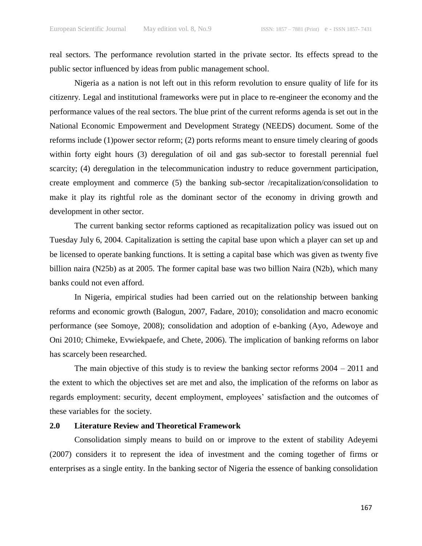real sectors. The performance revolution started in the private sector. Its effects spread to the public sector influenced by ideas from public management school.

Nigeria as a nation is not left out in this reform revolution to ensure quality of life for its citizenry. Legal and institutional frameworks were put in place to re-engineer the economy and the performance values of the real sectors. The blue print of the current reforms agenda is set out in the National Economic Empowerment and Development Strategy (NEEDS) document. Some of the reforms include (1)power sector reform; (2) ports reforms meant to ensure timely clearing of goods within forty eight hours (3) deregulation of oil and gas sub-sector to forestall perennial fuel scarcity; (4) deregulation in the telecommunication industry to reduce government participation, create employment and commerce (5) the banking sub-sector /recapitalization/consolidation to make it play its rightful role as the dominant sector of the economy in driving growth and development in other sector.

The current banking sector reforms captioned as recapitalization policy was issued out on Tuesday July 6, 2004. Capitalization is setting the capital base upon which a player can set up and be licensed to operate banking functions. It is setting a capital base which was given as twenty five billion naira (N25b) as at 2005. The former capital base was two billion Naira (N2b), which many banks could not even afford.

In Nigeria, empirical studies had been carried out on the relationship between banking reforms and economic growth (Balogun, 2007, Fadare, 2010); consolidation and macro economic performance (see Somoye, 2008); consolidation and adoption of e-banking (Ayo, Adewoye and Oni 2010; Chimeke, Evwiekpaefe, and Chete, 2006). The implication of banking reforms on labor has scarcely been researched.

The main objective of this study is to review the banking sector reforms  $2004 - 2011$  and the extent to which the objectives set are met and also, the implication of the reforms on labor as regards employment: security, decent employment, employees' satisfaction and the outcomes of these variables for the society.

### **2.0 Literature Review and Theoretical Framework**

Consolidation simply means to build on or improve to the extent of stability Adeyemi (2007) considers it to represent the idea of investment and the coming together of firms or enterprises as a single entity. In the banking sector of Nigeria the essence of banking consolidation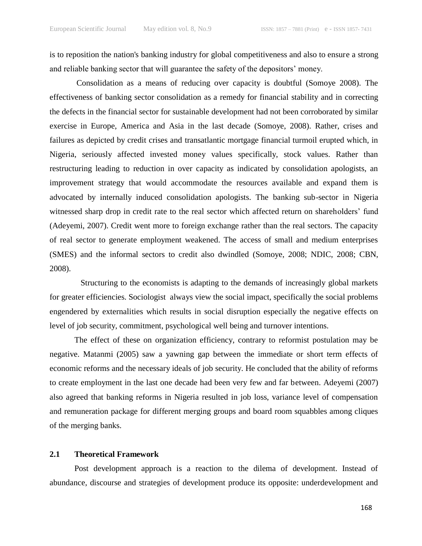is to reposition the nation's banking industry for global competitiveness and also to ensure a strong and reliable banking sector that will guarantee the safety of the depositors' money.

Consolidation as a means of reducing over capacity is doubtful (Somoye 2008). The effectiveness of banking sector consolidation as a remedy for financial stability and in correcting the defects in the financial sector for sustainable development had not been corroborated by similar exercise in Europe, America and Asia in the last decade (Somoye, 2008). Rather, crises and failures as depicted by credit crises and transatlantic mortgage financial turmoil erupted which, in Nigeria, seriously affected invested money values specifically, stock values. Rather than restructuring leading to reduction in over capacity as indicated by consolidation apologists, an improvement strategy that would accommodate the resources available and expand them is advocated by internally induced consolidation apologists. The banking sub-sector in Nigeria witnessed sharp drop in credit rate to the real sector which affected return on shareholders' fund (Adeyemi, 2007). Credit went more to foreign exchange rather than the real sectors. The capacity of real sector to generate employment weakened. The access of small and medium enterprises (SMES) and the informal sectors to credit also dwindled (Somoye, 2008; NDIC, 2008; CBN, 2008).

Structuring to the economists is adapting to the demands of increasingly global markets for greater efficiencies. Sociologist always view the social impact, specifically the social problems engendered by externalities which results in social disruption especially the negative effects on level of job security, commitment, psychological well being and turnover intentions.

The effect of these on organization efficiency, contrary to reformist postulation may be negative. Matanmi (2005) saw a yawning gap between the immediate or short term effects of economic reforms and the necessary ideals of job security. He concluded that the ability of reforms to create employment in the last one decade had been very few and far between. Adeyemi (2007) also agreed that banking reforms in Nigeria resulted in job loss, variance level of compensation and remuneration package for different merging groups and board room squabbles among cliques of the merging banks.

#### **2.1 Theoretical Framework**

Post development approach is a reaction to the dilema of development. Instead of abundance, discourse and strategies of development produce its opposite: underdevelopment and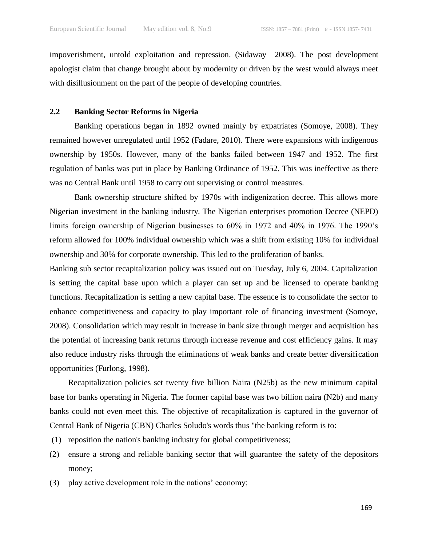impoverishment, untold exploitation and repression. (Sidaway 2008). The post development apologist claim that change brought about by modernity or driven by the west would always meet with disillusionment on the part of the people of developing countries.

#### **2.2 Banking Sector Reforms in Nigeria**

Banking operations began in 1892 owned mainly by expatriates (Somoye, 2008). They remained however unregulated until 1952 (Fadare, 2010). There were expansions with indigenous ownership by 1950s. However, many of the banks failed between 1947 and 1952. The first regulation of banks was put in place by Banking Ordinance of 1952. This was ineffective as there was no Central Bank until 1958 to carry out supervising or control measures.

Bank ownership structure shifted by 1970s with indigenization decree. This allows more Nigerian investment in the banking industry. The Nigerian enterprises promotion Decree (NEPD) limits foreign ownership of Nigerian businesses to 60% in 1972 and 40% in 1976. The 1990's reform allowed for 100% individual ownership which was a shift from existing 10% for individual ownership and 30% for corporate ownership. This led to the proliferation of banks.

Banking sub sector recapitalization policy was issued out on Tuesday, July 6, 2004. Capitalization is setting the capital base upon which a player can set up and be licensed to operate banking functions. Recapitalization is setting a new capital base. The essence is to consolidate the sector to enhance competitiveness and capacity to play important role of financing investment (Somoye, 2008). Consolidation which may result in increase in bank size through merger and acquisition has the potential of increasing bank returns through increase revenue and cost efficiency gains. It may also reduce industry risks through the eliminations of weak banks and create better diversification opportunities (Furlong, 1998).

Recapitalization policies set twenty five billion Naira (N25b) as the new minimum capital base for banks operating in Nigeria. The former capital base was two billion naira (N2b) and many banks could not even meet this. The objective of recapitalization is captured in the governor of Central Bank of Nigeria (CBN) Charles Soludo's words thus "the banking reform is to:

- (1) reposition the nation's banking industry for global competitiveness;
- (2) ensure a strong and reliable banking sector that will guarantee the safety of the depositors money;
- (3) play active development role in the nations' economy;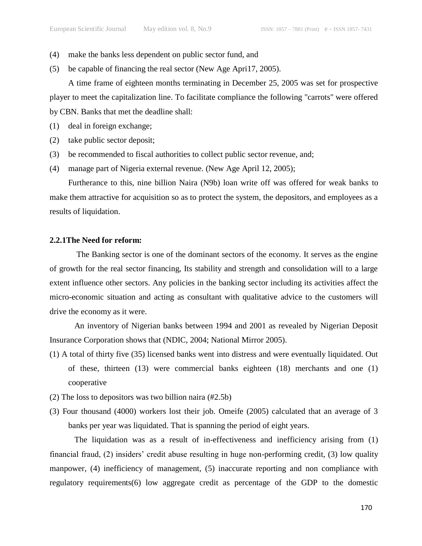- (4) make the banks less dependent on public sector fund, and
- (5) be capable of financing the real sector (New Age Apri17, 2005).

A time frame of eighteen months terminating in December 25, 2005 was set for prospective player to meet the capitalization line. To facilitate compliance the following "carrots" were offered by CBN. Banks that met the deadline shall:

- (1) deal in foreign exchange;
- (2) take public sector deposit;
- (3) be recommended to fiscal authorities to collect public sector revenue, and;
- (4) manage part of Nigeria external revenue. (New Age April 12, 2005);

Furtherance to this, nine billion Naira (N9b) loan write off was offered for weak banks to make them attractive for acquisition so as to protect the system, the depositors, and employees as a results of liquidation.

### **2.2.1The Need for reform:**

The Banking sector is one of the dominant sectors of the economy. It serves as the engine of growth for the real sector financing, Its stability and strength and consolidation will to a large extent influence other sectors. Any policies in the banking sector including its activities affect the micro-economic situation and acting as consultant with qualitative advice to the customers will drive the economy as it were.

An inventory of Nigerian banks between 1994 and 2001 as revealed by Nigerian Deposit Insurance Corporation shows that (NDIC, 2004; National Mirror 2005).

- (1) A total of thirty five (35) licensed banks went into distress and were eventually liquidated. Out of these, thirteen (13) were commercial banks eighteen (18) merchants and one (1) cooperative
- (2) The loss to depositors was two billion naira (#2.5b)
- (3) Four thousand (4000) workers lost their job. Omeife (2005) calculated that an average of 3 banks per year was liquidated. That is spanning the period of eight years.

The liquidation was as a result of in-effectiveness and inefficiency arising from (1) financial fraud, (2) insiders' credit abuse resulting in huge non-performing credit, (3) low quality manpower, (4) inefficiency of management, (5) inaccurate reporting and non compliance with regulatory requirements(6) low aggregate credit as percentage of the GDP to the domestic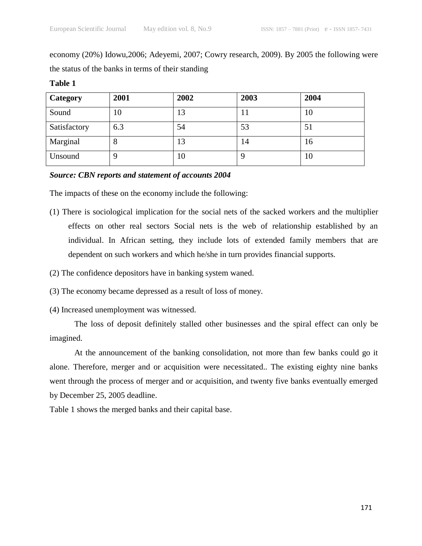economy (20%) Idowu,2006; Adeyemi, 2007; Cowry research, 2009). By 2005 the following were the status of the banks in terms of their standing

| <b>Category</b> | 2001 | 2002 | 2003 | 2004 |
|-----------------|------|------|------|------|
| Sound           | 10   | 13   | 11   | 10   |
| Satisfactory    | 6.3  | 54   | 53   | 51   |
| Marginal        | 8    | 13   | 14   | 16   |
| Unsound         | 9    | 10   |      | 10   |

#### **Table 1**

### *Source: CBN reports and statement of accounts 2004*

The impacts of these on the economy include the following:

- (1) There is sociological implication for the social nets of the sacked workers and the multiplier effects on other real sectors Social nets is the web of relationship established by an individual. In African setting, they include lots of extended family members that are dependent on such workers and which he/she in turn provides financial supports.
- (2) The confidence depositors have in banking system waned.
- (3) The economy became depressed as a result of loss of money.
- (4) Increased unemployment was witnessed.

The loss of deposit definitely stalled other businesses and the spiral effect can only be imagined.

At the announcement of the banking consolidation, not more than few banks could go it alone. Therefore, merger and or acquisition were necessitated.. The existing eighty nine banks went through the process of merger and or acquisition, and twenty five banks eventually emerged by December 25, 2005 deadline.

Table 1 shows the merged banks and their capital base.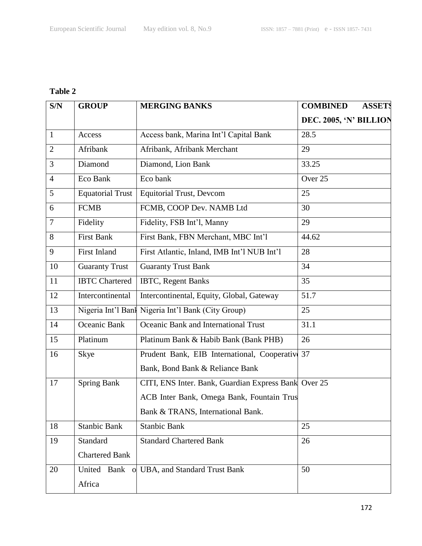## **Table 2**

| S/N            | <b>GROUP</b>                | <b>MERGING BANKS</b>                                 | <b>COMBINED</b><br><b>ASSETS</b> |
|----------------|-----------------------------|------------------------------------------------------|----------------------------------|
|                |                             |                                                      | DEC. 2005, 'N' BILLION           |
| $\mathbf{1}$   | Access                      | Access bank, Marina Int'l Capital Bank               | 28.5                             |
| $\overline{2}$ | Afribank                    | Afribank, Afribank Merchant                          | 29                               |
| 3              | Diamond                     | Diamond, Lion Bank                                   | 33.25                            |
| $\overline{4}$ | Eco Bank                    | Eco bank                                             | Over 25                          |
| 5              | <b>Equatorial Trust</b>     | <b>Equitorial Trust, Devcom</b>                      | 25                               |
| 6              | <b>FCMB</b>                 | FCMB, COOP Dev. NAMB Ltd                             | 30                               |
| $\overline{7}$ | Fidelity                    | Fidelity, FSB Int'l, Manny                           | 29                               |
| 8              | <b>First Bank</b>           | First Bank, FBN Merchant, MBC Int'l                  | 44.62                            |
| 9              | <b>First Inland</b>         | First Atlantic, Inland, IMB Int'l NUB Int'l          | 28                               |
| 10             | <b>Guaranty Trust</b>       | <b>Guaranty Trust Bank</b>                           | 34                               |
| 11             | <b>IBTC Chartered</b>       | <b>IBTC, Regent Banks</b>                            | 35                               |
| 12             | Intercontinental            | Intercontinental, Equity, Global, Gateway            | 51.7                             |
| 13             | Nigeria Int'l Banl          | Nigeria Int'l Bank (City Group)                      | 25                               |
| 14             | Oceanic Bank                | Oceanic Bank and International Trust                 | 31.1                             |
| 15             | Platinum                    | Platinum Bank & Habib Bank (Bank PHB)                | 26                               |
| 16             | Skye                        | Prudent Bank, EIB International, Cooperative         | 37                               |
|                |                             | Bank, Bond Bank & Reliance Bank                      |                                  |
| 17             | <b>Spring Bank</b>          | CITI, ENS Inter. Bank, Guardian Express Bank Over 25 |                                  |
|                |                             | ACB Inter Bank, Omega Bank, Fountain Trus            |                                  |
|                |                             | Bank & TRANS, International Bank.                    |                                  |
| 18             | <b>Stanbic Bank</b>         | <b>Stanbic Bank</b>                                  | 25                               |
| 19             | Standard                    | <b>Standard Chartered Bank</b>                       | 26                               |
|                | <b>Chartered Bank</b>       |                                                      |                                  |
| 20             | United Bank<br>$\mathbf{o}$ | UBA, and Standard Trust Bank                         | 50                               |
|                | Africa                      |                                                      |                                  |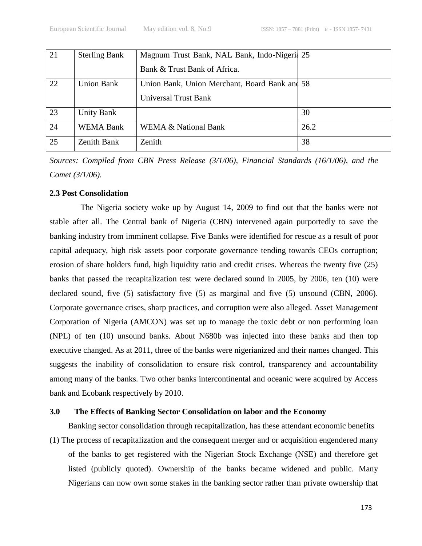| 21 | <b>Sterling Bank</b> | Magnum Trust Bank, NAL Bank, Indo-Nigeri 25   |      |
|----|----------------------|-----------------------------------------------|------|
|    |                      | Bank & Trust Bank of Africa.                  |      |
| 22 | <b>Union Bank</b>    | Union Bank, Union Merchant, Board Bank and 58 |      |
|    |                      | Universal Trust Bank                          |      |
| 23 | <b>Unity Bank</b>    |                                               | 30   |
| 24 | <b>WEMA Bank</b>     | <b>WEMA &amp; National Bank</b>               | 26.2 |
| 25 | <b>Zenith Bank</b>   | Zenith                                        | 38   |

*Sources: Compiled from CBN Press Release (3/1/06), Financial Standards (16/1/06), and the Comet (3/1/06).*

### **2.3 Post Consolidation**

The Nigeria society woke up by August 14, 2009 to find out that the banks were not stable after all. The Central bank of Nigeria (CBN) intervened again purportedly to save the banking industry from imminent collapse. Five Banks were identified for rescue as a result of poor capital adequacy, high risk assets poor corporate governance tending towards CEOs corruption; erosion of share holders fund, high liquidity ratio and credit crises. Whereas the twenty five (25) banks that passed the recapitalization test were declared sound in 2005, by 2006, ten (10) were declared sound, five (5) satisfactory five (5) as marginal and five (5) unsound (CBN, 2006). Corporate governance crises, sharp practices, and corruption were also alleged. Asset Management Corporation of Nigeria (AMCON) was set up to manage the toxic debt or non performing loan (NPL) of ten (10) unsound banks. About N680b was injected into these banks and then top executive changed. As at 2011, three of the banks were nigerianized and their names changed. This suggests the inability of consolidation to ensure risk control, transparency and accountability among many of the banks. Two other banks intercontinental and oceanic were acquired by Access bank and Ecobank respectively by 2010.

### **3.0 The Effects of Banking Sector Consolidation on labor and the Economy**

Banking sector consolidation through recapitalization, has these attendant economic benefits (1) The process of recapitalization and the consequent merger and or acquisition engendered many of the banks to get registered with the Nigerian Stock Exchange (NSE) and therefore get listed (publicly quoted). Ownership of the banks became widened and public. Many Nigerians can now own some stakes in the banking sector rather than private ownership that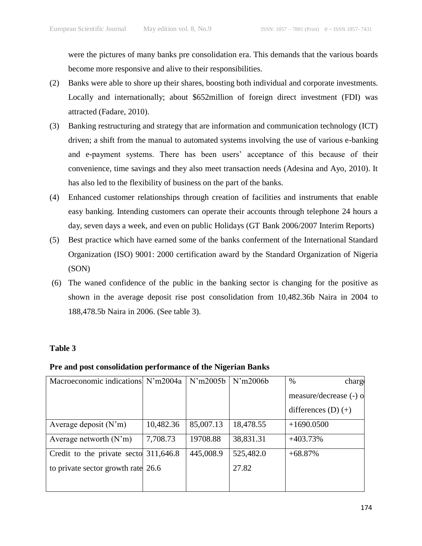were the pictures of many banks pre consolidation era. This demands that the various boards become more responsive and alive to their responsibilities.

- (2) Banks were able to shore up their shares, boosting both individual and corporate investments. Locally and internationally; about \$652million of foreign direct investment (FDI) was attracted (Fadare, 2010).
- (3) Banking restructuring and strategy that are information and communication technology (ICT) driven; a shift from the manual to automated systems involving the use of various e-banking and e-payment systems. There has been users' acceptance of this because of their convenience, time savings and they also meet transaction needs (Adesina and Ayo, 2010). It has also led to the flexibility of business on the part of the banks.
- (4) Enhanced customer relationships through creation of facilities and instruments that enable easy banking. Intending customers can operate their accounts through telephone 24 hours a day, seven days a week, and even on public Holidays (GT Bank 2006/2007 Interim Reports)
- (5) Best practice which have earned some of the banks conferment of the International Standard Organization (ISO) 9001: 2000 certification award by the Standard Organization of Nigeria (SON)
- (6) The waned confidence of the public in the banking sector is changing for the positive as shown in the average deposit rise post consolidation from 10,482.36b Naira in 2004 to 188,478.5b Naira in 2006. (See table 3).

### **Table 3**

### **Pre and post consolidation performance of the Nigerian Banks**

| Macroeconomic indications N'm2004a    |           | N'm2005b  | N'm2006b  | $\%$<br>charge         |
|---------------------------------------|-----------|-----------|-----------|------------------------|
|                                       |           |           |           | measure/decrease (-) o |
|                                       |           |           |           | differences $(D) (+)$  |
| Average deposit $(N'm)$               | 10,482.36 | 85,007.13 | 18,478.55 | $+1690.0500$           |
| Average networth $(N'm)$              | 7,708.73  | 19708.88  | 38,831.31 | $+403.73%$             |
| Credit to the private secto 311,646.8 |           | 445,008.9 | 525,482.0 | $+68.87%$              |
| to private sector growth rate 26.6    |           |           | 27.82     |                        |
|                                       |           |           |           |                        |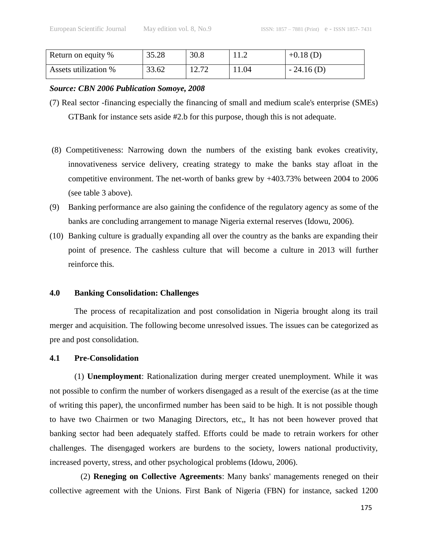| Return on equity %   | 35.28 | 30.8  | 11.4  | $+0.18$ (D)  |
|----------------------|-------|-------|-------|--------------|
| Assets utilization % | 33.62 | 12.72 | 11.04 | $-24.16$ (D) |

### *Source: CBN 2006 Publication Somoye, 2008*

- (7) Real sector -financing especially the financing of small and medium scale's enterprise (SMEs) GTBank for instance sets aside #2.b for this purpose, though this is not adequate.
- (8) Competitiveness: Narrowing down the numbers of the existing bank evokes creativity, innovativeness service delivery, creating strategy to make the banks stay afloat in the competitive environment. The net-worth of banks grew by +403.73% between 2004 to 2006 (see table 3 above).
- (9) Banking performance are also gaining the confidence of the regulatory agency as some of the banks are concluding arrangement to manage Nigeria external reserves (Idowu, 2006).
- (10) Banking culture is gradually expanding all over the country as the banks are expanding their point of presence. The cashless culture that will become a culture in 2013 will further reinforce this.

### **4.0 Banking Consolidation: Challenges**

The process of recapitalization and post consolidation in Nigeria brought along its trail merger and acquisition. The following become unresolved issues. The issues can be categorized as pre and post consolidation.

### **4.1 Pre-Consolidation**

(1) **Unemployment**: Rationalization during merger created unemployment. While it was not possible to confirm the number of workers disengaged as a result of the exercise (as at the time of writing this paper), the unconfirmed number has been said to be high. It is not possible though to have two Chairmen or two Managing Directors, etc,, It has not been however proved that banking sector had been adequately staffed. Efforts could be made to retrain workers for other challenges. The disengaged workers are burdens to the society, lowers national productivity, increased poverty, stress, and other psychological problems (Idowu, 2006).

(2) **Reneging on Collective Agreements**: Many banks' managements reneged on their collective agreement with the Unions. First Bank of Nigeria (FBN) for instance, sacked 1200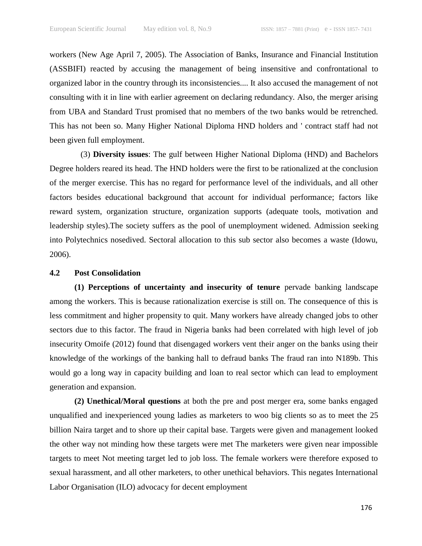workers (New Age April 7, 2005). The Association of Banks, Insurance and Financial Institution (ASSBIFI) reacted by accusing the management of being insensitive and confrontational to organized labor in the country through its inconsistencies.... It also accused the management of not consulting with it in line with earlier agreement on declaring redundancy. Also, the merger arising from UBA and Standard Trust promised that no members of the two banks would be retrenched. This has not been so. Many Higher National Diploma HND holders and ' contract staff had not been given full employment.

(3) **Diversity issues**: The gulf between Higher National Diploma (HND) and Bachelors Degree holders reared its head. The HND holders were the first to be rationalized at the conclusion of the merger exercise. This has no regard for performance level of the individuals, and all other factors besides educational background that account for individual performance; factors like reward system, organization structure, organization supports (adequate tools, motivation and leadership styles).The society suffers as the pool of unemployment widened. Admission seeking into Polytechnics nosedived. Sectoral allocation to this sub sector also becomes a waste (Idowu, 2006).

### **4.2 Post Consolidation**

**(1) Perceptions of uncertainty and insecurity of tenure** pervade banking landscape among the workers. This is because rationalization exercise is still on. The consequence of this is less commitment and higher propensity to quit. Many workers have already changed jobs to other sectors due to this factor. The fraud in Nigeria banks had been correlated with high level of job insecurity Omoife (2012) found that disengaged workers vent their anger on the banks using their knowledge of the workings of the banking hall to defraud banks The fraud ran into N189b. This would go a long way in capacity building and loan to real sector which can lead to employment generation and expansion.

**(2) Unethical/Moral questions** at both the pre and post merger era, some banks engaged unqualified and inexperienced young ladies as marketers to woo big clients so as to meet the 25 billion Naira target and to shore up their capital base. Targets were given and management looked the other way not minding how these targets were met The marketers were given near impossible targets to meet Not meeting target led to job loss. The female workers were therefore exposed to sexual harassment, and all other marketers, to other unethical behaviors. This negates International Labor Organisation (ILO) advocacy for decent employment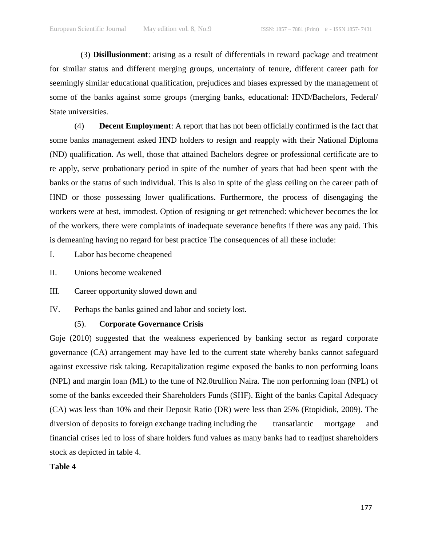(3) **Disillusionment**: arising as a result of differentials in reward package and treatment for similar status and different merging groups, uncertainty of tenure, different career path for seemingly similar educational qualification, prejudices and biases expressed by the management of some of the banks against some groups (merging banks, educational: HND/Bachelors, Federal/ State universities.

(4) **Decent Employment**: A report that has not been officially confirmed is the fact that some banks management asked HND holders to resign and reapply with their National Diploma (ND) qualification. As well, those that attained Bachelors degree or professional certificate are to re apply, serve probationary period in spite of the number of years that had been spent with the banks or the status of such individual. This is also in spite of the glass ceiling on the career path of HND or those possessing lower qualifications. Furthermore, the process of disengaging the workers were at best, immodest. Option of resigning or get retrenched: whichever becomes the lot of the workers, there were complaints of inadequate severance benefits if there was any paid. This is demeaning having no regard for best practice The consequences of all these include:

I. Labor has become cheapened

- II. Unions become weakened
- III. Career opportunity slowed down and
- IV. Perhaps the banks gained and labor and society lost.

### (5). **Corporate Governance Crisis**

Goje (2010) suggested that the weakness experienced by banking sector as regard corporate governance (CA) arrangement may have led to the current state whereby banks cannot safeguard against excessive risk taking. Recapitalization regime exposed the banks to non performing loans (NPL) and margin loan (ML) to the tune of N2.0trullion Naira. The non performing loan (NPL) of some of the banks exceeded their Shareholders Funds (SHF). Eight of the banks Capital Adequacy (CA) was less than 10% and their Deposit Ratio (DR) were less than 25% (Etopidiok, 2009). The diversion of deposits to foreign exchange trading including the transatlantic mortgage and financial crises led to loss of share holders fund values as many banks had to readjust shareholders stock as depicted in table 4.

**Table 4**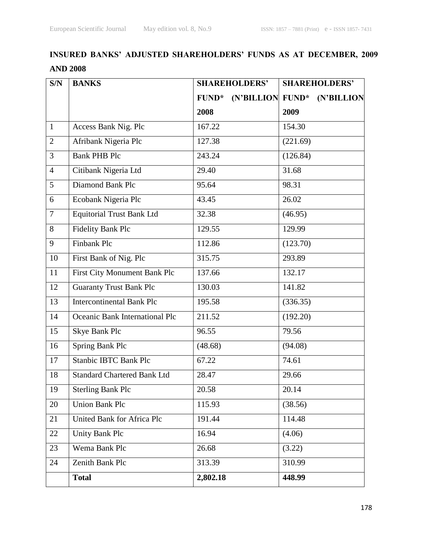# **INSURED BANKS' ADJUSTED SHAREHOLDERS' FUNDS AS AT DECEMBER, 2009 AND 2008**

| S/N            | <b>BANKS</b>                       | <b>SHAREHOLDERS'</b>             | <b>SHAREHOLDERS'</b> |  |
|----------------|------------------------------------|----------------------------------|----------------------|--|
|                |                                    | (N'BILLION FUND*<br><b>FUND*</b> | (N'BILLION           |  |
|                |                                    | 2008                             | 2009                 |  |
| $\mathbf{1}$   | Access Bank Nig. Plc               | 167.22                           | 154.30               |  |
| $\overline{2}$ | Afribank Nigeria Plc               | 127.38                           | (221.69)             |  |
| 3              | <b>Bank PHB Plc</b>                | 243.24                           | (126.84)             |  |
| $\overline{4}$ | Citibank Nigeria Ltd               | 29.40                            | 31.68                |  |
| 5              | Diamond Bank Plc                   | 95.64                            | 98.31                |  |
| 6              | Ecobank Nigeria Plc                | 43.45                            | 26.02                |  |
| $\tau$         | <b>Equitorial Trust Bank Ltd</b>   | 32.38                            | (46.95)              |  |
| 8              | <b>Fidelity Bank Plc</b>           | 129.55                           | 129.99               |  |
| 9              | Finbank Plc                        | 112.86                           | (123.70)             |  |
| 10             | First Bank of Nig. Plc             | 315.75                           | 293.89               |  |
| 11             | First City Monument Bank Plc       | 137.66                           | 132.17               |  |
| 12             | <b>Guaranty Trust Bank Plc</b>     | 130.03                           | 141.82               |  |
| 13             | <b>Intercontinental Bank Plc</b>   | 195.58                           | (336.35)             |  |
| 14             | Oceanic Bank International Plc     | 211.52                           | (192.20)             |  |
| 15             | Skye Bank Plc                      | 96.55                            | 79.56                |  |
| 16             | Spring Bank Plc                    | (48.68)                          | (94.08)              |  |
| 17             | <b>Stanbic IBTC Bank Plc</b>       | 67.22                            | 74.61                |  |
| 18             | <b>Standard Chartered Bank Ltd</b> | 28.47                            | 29.66                |  |
| 19             | <b>Sterling Bank Plc</b>           | 20.58                            | 20.14                |  |
| 20             | <b>Union Bank Plc</b>              | 115.93                           | (38.56)              |  |
| 21             | United Bank for Africa Plc         | 191.44                           | 114.48               |  |
| 22             | Unity Bank Plc                     | 16.94                            | (4.06)               |  |
| 23             | Wema Bank Plc                      | 26.68                            | (3.22)               |  |
| 24             | Zenith Bank Plc                    | 313.39                           | 310.99               |  |
|                | <b>Total</b>                       | 2,802.18                         | 448.99               |  |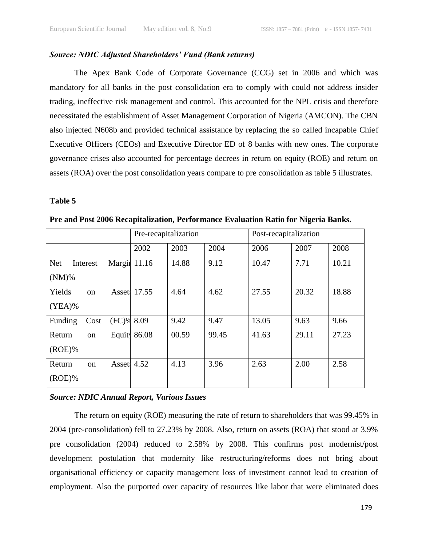### *Source: NDIC Adjusted Shareholders' Fund (Bank returns)*

The Apex Bank Code of Corporate Governance (CCG) set in 2006 and which was mandatory for all banks in the post consolidation era to comply with could not address insider trading, ineffective risk management and control. This accounted for the NPL crisis and therefore necessitated the establishment of Asset Management Corporation of Nigeria (AMCON). The CBN also injected N608b and provided technical assistance by replacing the so called incapable Chief Executive Officers (CEOs) and Executive Director ED of 8 banks with new ones. The corporate governance crises also accounted for percentage decrees in return on equity (ROE) and return on assets (ROA) over the post consolidation years compare to pre consolidation as table 5 illustrates.

### **Table 5**

|                        |                               | Pre-recapitalization |       |       | Post-recapitalization |       |       |
|------------------------|-------------------------------|----------------------|-------|-------|-----------------------|-------|-------|
|                        |                               | 2002                 | 2003  | 2004  | 2006                  | 2007  | 2008  |
| <b>Net</b><br>Interest | Margin                        | 11.16                | 14.88 | 9.12  | 10.47                 | 7.71  | 10.21 |
| $(NM)\%$               |                               |                      |       |       |                       |       |       |
| Yields                 | <b>Asset</b><br><sub>on</sub> | 17.55                | 4.64  | 4.62  | 27.55                 | 20.32 | 18.88 |
| $(YEA)\%$              |                               |                      |       |       |                       |       |       |
| Funding                | Cost                          | $(FC)$ % 8.09        | 9.42  | 9.47  | 13.05                 | 9.63  | 9.66  |
| Return                 | Equity<br><sub>on</sub>       | 86.08                | 00.59 | 99.45 | 41.63                 | 29.11 | 27.23 |
| $(ROE)\%$              |                               |                      |       |       |                       |       |       |
| Return                 | on                            | Asset: 4.52          | 4.13  | 3.96  | 2.63                  | 2.00  | 2.58  |
| $(ROE)\%$              |                               |                      |       |       |                       |       |       |

**Pre and Post 2006 Recapitalization, Performance Evaluation Ratio for Nigeria Banks.**

#### *Source: NDIC Annual Report, Various Issues*

The return on equity (ROE) measuring the rate of return to shareholders that was 99.45% in 2004 (pre-consolidation) fell to 27.23% by 2008. Also, return on assets (ROA) that stood at 3.9% pre consolidation (2004) reduced to 2.58% by 2008. This confirms post modernist/post development postulation that modernity like restructuring/reforms does not bring about organisational efficiency or capacity management loss of investment cannot lead to creation of employment. Also the purported over capacity of resources like labor that were eliminated does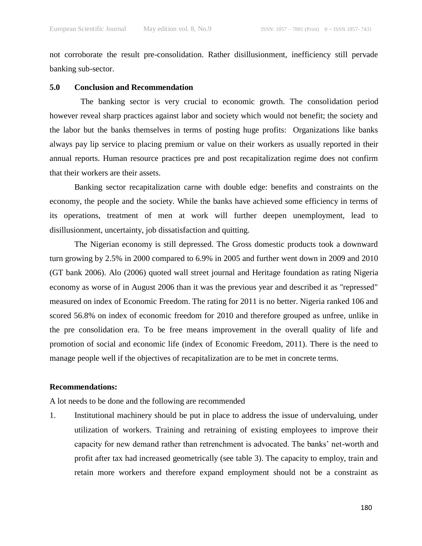not corroborate the result pre-consolidation. Rather disillusionment, inefficiency still pervade banking sub-sector.

### **5.0 Conclusion and Recommendation**

The banking sector is very crucial to economic growth. The consolidation period however reveal sharp practices against labor and society which would not benefit; the society and the labor but the banks themselves in terms of posting huge profits: Organizations like banks always pay lip service to placing premium or value on their workers as usually reported in their annual reports. Human resource practices pre and post recapitalization regime does not confirm that their workers are their assets.

Banking sector recapitalization carne with double edge: benefits and constraints on the economy, the people and the society. While the banks have achieved some efficiency in terms of its operations, treatment of men at work will further deepen unemployment, lead to disillusionment, uncertainty, job dissatisfaction and quitting.

The Nigerian economy is still depressed. The Gross domestic products took a downward turn growing by 2.5% in 2000 compared to 6.9% in 2005 and further went down in 2009 and 2010 (GT bank 2006). Alo (2006) quoted wall street journal and Heritage foundation as rating Nigeria economy as worse of in August 2006 than it was the previous year and described it as "repressed" measured on index of Economic Freedom. The rating for 2011 is no better. Nigeria ranked 106 and scored 56.8% on index of economic freedom for 2010 and therefore grouped as unfree, unlike in the pre consolidation era. To be free means improvement in the overall quality of life and promotion of social and economic life (index of Economic Freedom, 2011). There is the need to manage people well if the objectives of recapitalization are to be met in concrete terms.

#### **Recommendations:**

A lot needs to be done and the following are recommended

1. Institutional machinery should be put in place to address the issue of undervaluing, under utilization of workers. Training and retraining of existing employees to improve their capacity for new demand rather than retrenchment is advocated. The banks' net-worth and profit after tax had increased geometrically (see table 3). The capacity to employ, train and retain more workers and therefore expand employment should not be a constraint as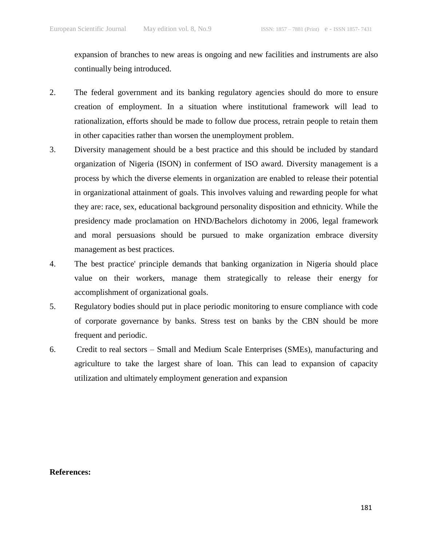expansion of branches to new areas is ongoing and new facilities and instruments are also continually being introduced.

- 2. The federal government and its banking regulatory agencies should do more to ensure creation of employment. In a situation where institutional framework will lead to rationalization, efforts should be made to follow due process, retrain people to retain them in other capacities rather than worsen the unemployment problem.
- 3. Diversity management should be a best practice and this should be included by standard organization of Nigeria (ISON) in conferment of ISO award. Diversity management is a process by which the diverse elements in organization are enabled to release their potential in organizational attainment of goals. This involves valuing and rewarding people for what they are: race, sex, educational background personality disposition and ethnicity. While the presidency made proclamation on HND/Bachelors dichotomy in 2006, legal framework and moral persuasions should be pursued to make organization embrace diversity management as best practices.
- 4. The best practice' principle demands that banking organization in Nigeria should place value on their workers, manage them strategically to release their energy for accomplishment of organizational goals.
- 5. Regulatory bodies should put in place periodic monitoring to ensure compliance with code of corporate governance by banks. Stress test on banks by the CBN should be more frequent and periodic.
- 6. Credit to real sectors Small and Medium Scale Enterprises (SMEs), manufacturing and agriculture to take the largest share of loan. This can lead to expansion of capacity utilization and ultimately employment generation and expansion

#### **References:**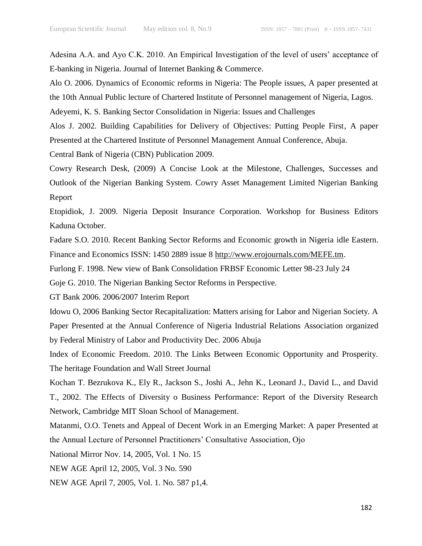Adesina A.A. and Ayo C.K. 2010. An Empirical Investigation of the level of users' acceptance of E-banking in Nigeria. Journal of Internet Banking & Commerce.

Alo O. 2006. Dynamics of Economic reforms in Nigeria: The People issues, A paper presented at the 10th Annual Public lecture of Chartered Institute of Personnel management of Nigeria, Lagos.

Adeyemi, K. S. Banking Sector Consolidation in Nigeria: Issues and Challenges

Alos J. 2002. Building Capabilities for Delivery of Objectives: Putting People First, A paper Presented at the Chartered Institute of Personnel Management Annual Conference, Abuja.

Central Bank of Nigeria (CBN) Publication 2009.

Cowry Research Desk, (2009) A Concise Look at the Milestone, Challenges, Successes and Outlook of the Nigerian Banking System. Cowry Asset Management Limited Nigerian Banking Report

Etopidiok, J. 2009. Nigeria Deposit Insurance Corporation. Workshop for Business Editors Kaduna October.

Fadare S.O. 2010. Recent Banking Sector Reforms and Economic growth in Nigeria idle Eastern. Finance and Economics ISSN: 1450 2889 issue 8 [http://www.erojournals.com/MEFE.tm.](http://www.erojournals.com/MEFE.tm)

Furlong F. 1998. New view of Bank Consolidation FRBSF Economic Letter 98-23 July 24

Goje G. 2010. The Nigerian Banking Sector Reforms in Perspective.

GT Bank 2006. 2006/2007 Interim Report

Idowu O, 2006 Banking Sector Recapitalization: Matters arising for Labor and Nigerian Society. A Paper Presented at the Annual Conference of Nigeria Industrial Relations Association organized by Federal Ministry of Labor and Productivity Dec. 2006 Abuja

Index of Economic Freedom. 2010. The Links Between Economic Opportunity and Prosperity. The heritage Foundation and Wall Street Journal

Kochan T. Bezrukova K., Ely R., Jackson S., Joshi A., Jehn K., Leonard J., David L., and David T., 2002. The Effects of Diversity o Business Performance: Report of the Diversity Research Network, Cambridge MIT Sloan School of Management.

Matanmi, O.O. Tenets and Appeal of Decent Work in an Emerging Market: A paper Presented at the Annual Lecture of Personnel Practitioners' Consultative Association, Ojo

National Mirror Nov. 14, 2005, Vol. 1 No. 15

NEW AGE April 12, 2005, Vol. 3 No. 590

NEW AGE April 7, 2005, Vol. 1. No. 587 p1,4.